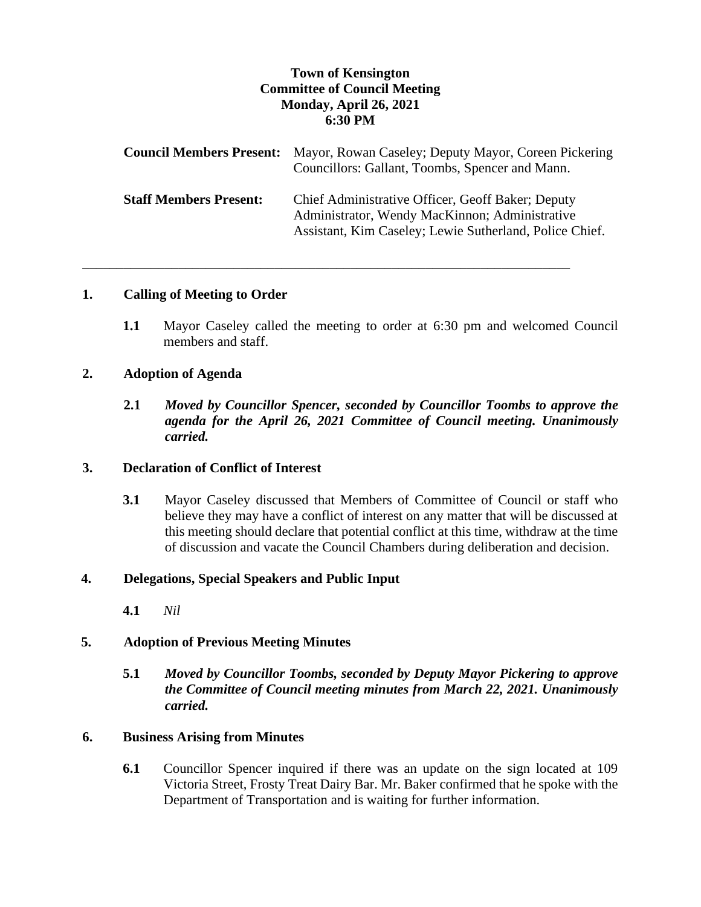# **Town of Kensington Committee of Council Meeting Monday, April 26, 2021 6:30 PM**

|                               | <b>Council Members Present:</b> Mayor, Rowan Caseley; Deputy Mayor, Coreen Pickering<br>Councillors: Gallant, Toombs, Spencer and Mann.                        |
|-------------------------------|----------------------------------------------------------------------------------------------------------------------------------------------------------------|
| <b>Staff Members Present:</b> | Chief Administrative Officer, Geoff Baker; Deputy<br>Administrator, Wendy MacKinnon; Administrative<br>Assistant, Kim Caseley; Lewie Sutherland, Police Chief. |

\_\_\_\_\_\_\_\_\_\_\_\_\_\_\_\_\_\_\_\_\_\_\_\_\_\_\_\_\_\_\_\_\_\_\_\_\_\_\_\_\_\_\_\_\_\_\_\_\_\_\_\_\_\_\_\_\_\_\_\_\_\_\_\_\_\_\_\_\_\_\_

### **1. Calling of Meeting to Order**

**1.1** Mayor Caseley called the meeting to order at 6:30 pm and welcomed Council members and staff.

### **2. Adoption of Agenda**

**2.1** *Moved by Councillor Spencer, seconded by Councillor Toombs to approve the agenda for the April 26, 2021 Committee of Council meeting. Unanimously carried.*

### **3. Declaration of Conflict of Interest**

**3.1** Mayor Caseley discussed that Members of Committee of Council or staff who believe they may have a conflict of interest on any matter that will be discussed at this meeting should declare that potential conflict at this time, withdraw at the time of discussion and vacate the Council Chambers during deliberation and decision.

### **4. Delegations, Special Speakers and Public Input**

**4.1** *Nil*

### **5. Adoption of Previous Meeting Minutes**

**5.1** *Moved by Councillor Toombs, seconded by Deputy Mayor Pickering to approve the Committee of Council meeting minutes from March 22, 2021. Unanimously carried.*

# **6. Business Arising from Minutes**

**6.1** Councillor Spencer inquired if there was an update on the sign located at 109 Victoria Street, Frosty Treat Dairy Bar. Mr. Baker confirmed that he spoke with the Department of Transportation and is waiting for further information.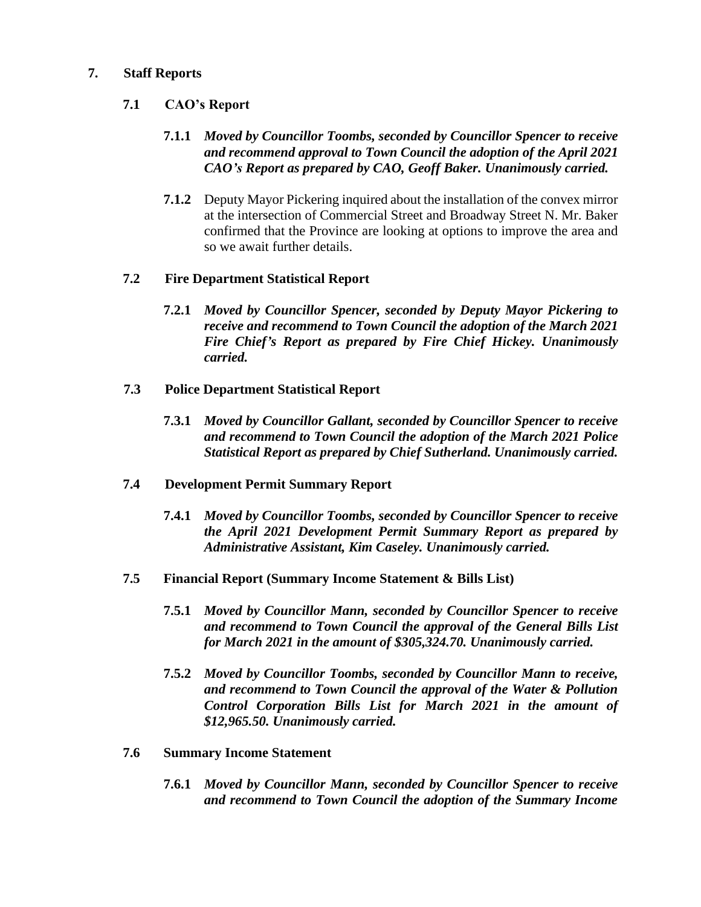# **7. Staff Reports**

# **7.1 CAO's Report**

# **7.1.1** *Moved by Councillor Toombs, seconded by Councillor Spencer to receive and recommend approval to Town Council the adoption of the April 2021 CAO's Report as prepared by CAO, Geoff Baker. Unanimously carried.*

**7.1.2** Deputy Mayor Pickering inquired about the installation of the convex mirror at the intersection of Commercial Street and Broadway Street N. Mr. Baker confirmed that the Province are looking at options to improve the area and so we await further details.

### **7.2 Fire Department Statistical Report**

- **7.2.1** *Moved by Councillor Spencer, seconded by Deputy Mayor Pickering to receive and recommend to Town Council the adoption of the March 2021 Fire Chief's Report as prepared by Fire Chief Hickey. Unanimously carried.*
- **7.3 Police Department Statistical Report**
	- **7.3.1** *Moved by Councillor Gallant, seconded by Councillor Spencer to receive and recommend to Town Council the adoption of the March 2021 Police Statistical Report as prepared by Chief Sutherland. Unanimously carried.*
- **7.4 Development Permit Summary Report**
	- **7.4.1** *Moved by Councillor Toombs, seconded by Councillor Spencer to receive the April 2021 Development Permit Summary Report as prepared by Administrative Assistant, Kim Caseley. Unanimously carried.*
- **7.5 Financial Report (Summary Income Statement & Bills List)**
	- **7.5.1** *Moved by Councillor Mann, seconded by Councillor Spencer to receive and recommend to Town Council the approval of the General Bills List for March 2021 in the amount of \$305,324.70. Unanimously carried.*
	- **7.5.2** *Moved by Councillor Toombs, seconded by Councillor Mann to receive, and recommend to Town Council the approval of the Water & Pollution Control Corporation Bills List for March 2021 in the amount of \$12,965.50. Unanimously carried.*
- **7.6 Summary Income Statement**
	- **7.6.1** *Moved by Councillor Mann, seconded by Councillor Spencer to receive and recommend to Town Council the adoption of the Summary Income*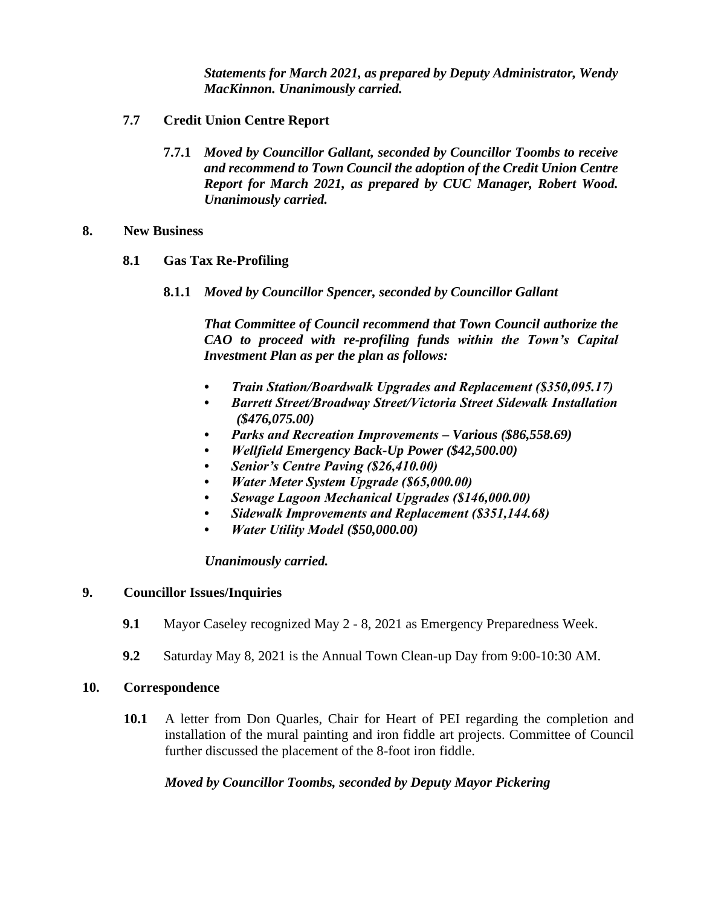*Statements for March 2021, as prepared by Deputy Administrator, Wendy MacKinnon. Unanimously carried.*

- **7.7 Credit Union Centre Report**
	- **7.7.1** *Moved by Councillor Gallant, seconded by Councillor Toombs to receive and recommend to Town Council the adoption of the Credit Union Centre Report for March 2021, as prepared by CUC Manager, Robert Wood. Unanimously carried.*

#### **8. New Business**

### **8.1 Gas Tax Re-Profiling**

**8.1.1** *Moved by Councillor Spencer, seconded by Councillor Gallant*

*That Committee of Council recommend that Town Council authorize the CAO to proceed with re-profiling funds within the Town's Capital Investment Plan as per the plan as follows:*

- *Train Station/Boardwalk Upgrades and Replacement (\$350,095.17)*
- *Barrett Street/Broadway Street/Victoria Street Sidewalk Installation (\$476,075.00)*
- *Parks and Recreation Improvements – Various (\$86,558.69)*
- *Wellfield Emergency Back-Up Power (\$42,500.00)*
- *Senior's Centre Paving (\$26,410.00)*
- *Water Meter System Upgrade (\$65,000.00)*
- *Sewage Lagoon Mechanical Upgrades (\$146,000.00)*
- *Sidewalk Improvements and Replacement (\$351,144.68)*
- *Water Utility Model (\$50,000.00)*

### *Unanimously carried.*

### **9. Councillor Issues/Inquiries**

- **9.1** Mayor Caseley recognized May 2 8, 2021 as Emergency Preparedness Week.
- **9.2** Saturday May 8, 2021 is the Annual Town Clean-up Day from 9:00-10:30 AM.

### **10. Correspondence**

**10.1** A letter from Don Quarles, Chair for Heart of PEI regarding the completion and installation of the mural painting and iron fiddle art projects. Committee of Council further discussed the placement of the 8-foot iron fiddle.

### *Moved by Councillor Toombs, seconded by Deputy Mayor Pickering*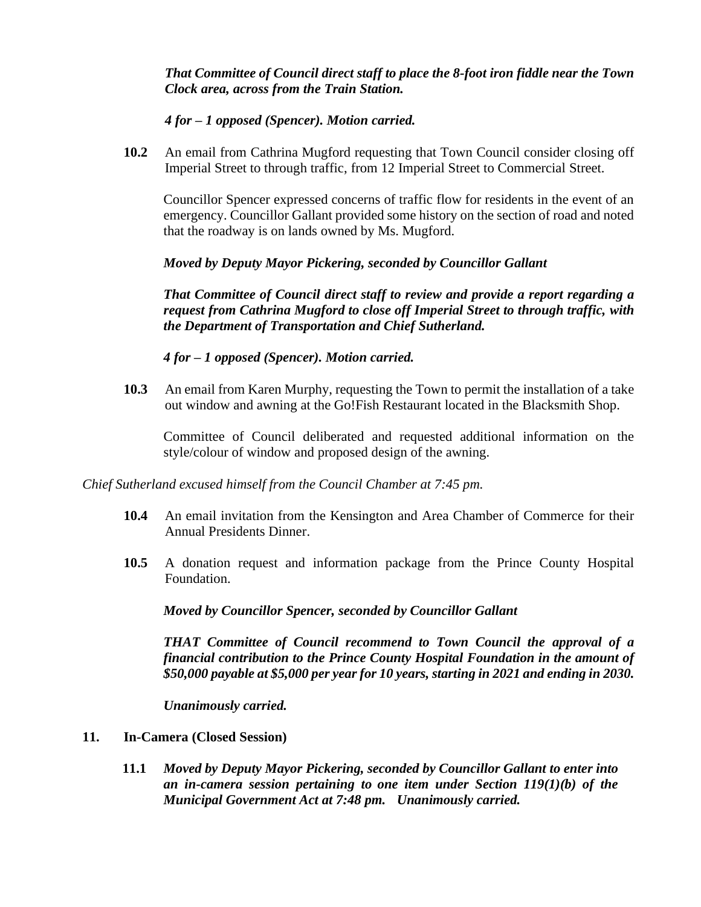*That Committee of Council direct staff to place the 8-foot iron fiddle near the Town Clock area, across from the Train Station.* 

*4 for – 1 opposed (Spencer). Motion carried.* 

**10.2** An email from Cathrina Mugford requesting that Town Council consider closing off Imperial Street to through traffic, from 12 Imperial Street to Commercial Street.

Councillor Spencer expressed concerns of traffic flow for residents in the event of an emergency. Councillor Gallant provided some history on the section of road and noted that the roadway is on lands owned by Ms. Mugford.

*Moved by Deputy Mayor Pickering, seconded by Councillor Gallant* 

*That Committee of Council direct staff to review and provide a report regarding a request from Cathrina Mugford to close off Imperial Street to through traffic, with the Department of Transportation and Chief Sutherland.* 

*4 for – 1 opposed (Spencer). Motion carried.* 

**10.3** An email from Karen Murphy, requesting the Town to permit the installation of a take out window and awning at the Go!Fish Restaurant located in the Blacksmith Shop.

Committee of Council deliberated and requested additional information on the style/colour of window and proposed design of the awning.

*Chief Sutherland excused himself from the Council Chamber at 7:45 pm.*

- **10.4** An email invitation from the Kensington and Area Chamber of Commerce for their Annual Presidents Dinner.
- **10.5** A donation request and information package from the Prince County Hospital Foundation.

*Moved by Councillor Spencer, seconded by Councillor Gallant* 

*THAT Committee of Council recommend to Town Council the approval of a financial contribution to the Prince County Hospital Foundation in the amount of \$50,000 payable at \$5,000 per year for 10 years, starting in 2021 and ending in 2030.*

*Unanimously carried.* 

- **11. In-Camera (Closed Session)**
	- **11.1** *Moved by Deputy Mayor Pickering, seconded by Councillor Gallant to enter into an in-camera session pertaining to one item under Section 119(1)(b) of the Municipal Government Act at 7:48 pm. Unanimously carried.*